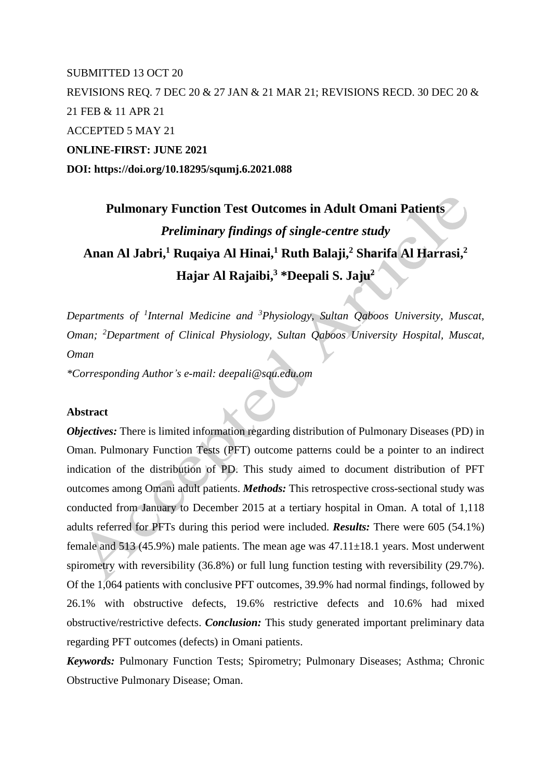# SUBMITTED 13 OCT 20 REVISIONS REQ. 7 DEC 20 & 27 JAN & 21 MAR 21; REVISIONS RECD. 30 DEC 20 & 21 FEB & 11 APR 21 ACCEPTED 5 MAY 21 **ONLINE-FIRST: JUNE 2021 DOI: https://doi.org/10.18295/squmj.6.2021.088**

# **Pulmonary Function Test Outcomes in Adult Omani Patients** *Preliminary findings of single-centre study* **Anan Al Jabri, <sup>1</sup> Ruqaiya Al Hinai, <sup>1</sup> Ruth Balaji, <sup>2</sup> Sharifa Al Harrasi, 2 Hajar Al Rajaibi, <sup>3</sup> \*Deepali S. Jaju<sup>2</sup>**

*Departments of <sup>1</sup> Internal Medicine and <sup>3</sup>Physiology, Sultan Qaboos University, Muscat, Oman; <sup>2</sup>Department of Clinical Physiology, Sultan Qaboos University Hospital, Muscat, Oman*

*\*Corresponding Author's e-mail: deepali@squ.edu.om*

### **Abstract**

*Objectives:* There is limited information regarding distribution of Pulmonary Diseases (PD) in Oman. Pulmonary Function Tests (PFT) outcome patterns could be a pointer to an indirect indication of the distribution of PD. This study aimed to document distribution of PFT outcomes among Omani adult patients. *Methods:* This retrospective cross-sectional study was conducted from January to December 2015 at a tertiary hospital in Oman. A total of 1,118 adults referred for PFTs during this period were included. *Results:* There were 605 (54.1%) female and  $513$  (45.9%) male patients. The mean age was  $47.11\pm18.1$  years. Most underwent spirometry with reversibility (36.8%) or full lung function testing with reversibility (29.7%). Of the 1,064 patients with conclusive PFT outcomes, 39.9% had normal findings, followed by 26.1% with obstructive defects, 19.6% restrictive defects and 10.6% had mixed obstructive/restrictive defects. *Conclusion:* This study generated important preliminary data regarding PFT outcomes (defects) in Omani patients.

*Keywords:* Pulmonary Function Tests; Spirometry; Pulmonary Diseases; Asthma; Chronic Obstructive Pulmonary Disease; Oman.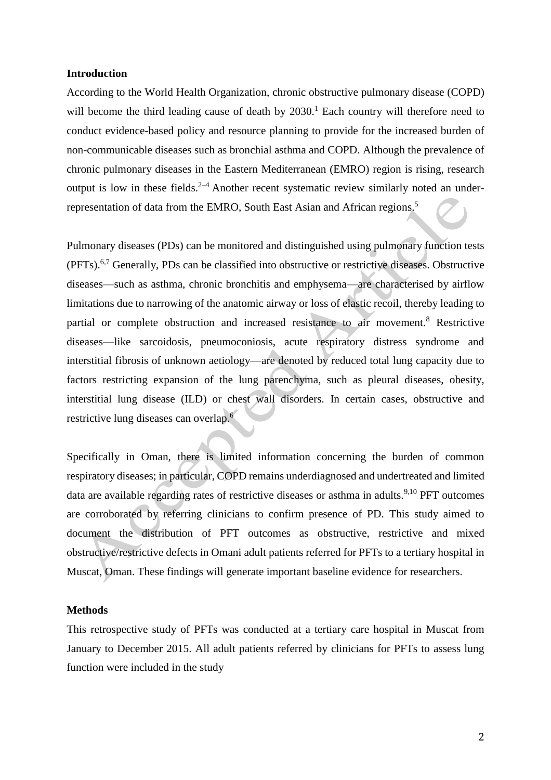#### **Introduction**

According to the World Health Organization, chronic obstructive pulmonary disease (COPD) will become the third leading cause of death by 2030.<sup>1</sup> Each country will therefore need to conduct evidence-based policy and resource planning to provide for the increased burden of non-communicable diseases such as bronchial asthma and COPD. Although the prevalence of chronic pulmonary diseases in the Eastern Mediterranean (EMRO) region is rising, research output is low in these fields. $2-4$  Another recent systematic review similarly noted an underrepresentation of data from the EMRO, South East Asian and African regions.<sup>5</sup>

Pulmonary diseases (PDs) can be monitored and distinguished using pulmonary function tests (PFTs).<sup>6,7</sup> Generally, PDs can be classified into obstructive or restrictive diseases. Obstructive diseases—such as asthma, chronic bronchitis and emphysema—are characterised by airflow limitations due to narrowing of the anatomic airway or loss of elastic recoil, thereby leading to partial or complete obstruction and increased resistance to air movement.<sup>8</sup> Restrictive diseases—like sarcoidosis, pneumoconiosis, acute respiratory distress syndrome and interstitial fibrosis of unknown aetiology—are denoted by reduced total lung capacity due to factors restricting expansion of the lung parenchyma, such as pleural diseases, obesity, interstitial lung disease (ILD) or chest wall disorders. In certain cases, obstructive and restrictive lung diseases can overlap. 6

Specifically in Oman, there is limited information concerning the burden of common respiratory diseases; in particular, COPD remains underdiagnosed and undertreated and limited data are available regarding rates of restrictive diseases or asthma in adults.<sup>9,10</sup> PFT outcomes are corroborated by referring clinicians to confirm presence of PD. This study aimed to document the distribution of PFT outcomes as obstructive, restrictive and mixed obstructive/restrictive defects in Omani adult patients referred for PFTs to a tertiary hospital in Muscat, Oman. These findings will generate important baseline evidence for researchers.

#### **Methods**

This retrospective study of PFTs was conducted at a tertiary care hospital in Muscat from January to December 2015. All adult patients referred by clinicians for PFTs to assess lung function were included in the study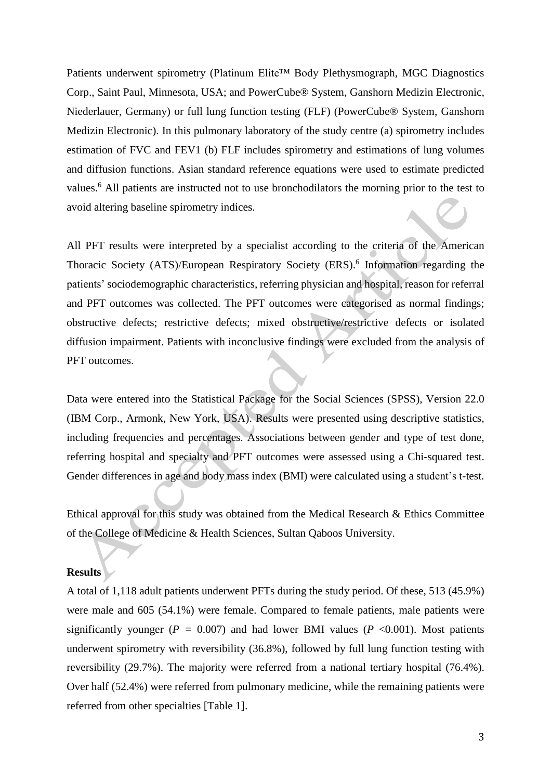Patients underwent spirometry (Platinum Elite™ Body Plethysmograph, MGC Diagnostics Corp., Saint Paul, Minnesota, USA; and PowerCube® System, Ganshorn Medizin Electronic, Niederlauer, Germany) or full lung function testing (FLF) (PowerCube® System, Ganshorn Medizin Electronic). In this pulmonary laboratory of the study centre (a) spirometry includes estimation of FVC and FEV1 (b) FLF includes spirometry and estimations of lung volumes and diffusion functions. Asian standard reference equations were used to estimate predicted values.<sup>6</sup> All patients are instructed not to use bronchodilators the morning prior to the test to avoid altering baseline spirometry indices.

All PFT results were interpreted by a specialist according to the criteria of the American Thoracic Society (ATS)/European Respiratory Society (ERS).<sup>6</sup> Information regarding the patients' sociodemographic characteristics, referring physician and hospital, reason for referral and PFT outcomes was collected. The PFT outcomes were categorised as normal findings; obstructive defects; restrictive defects; mixed obstructive/restrictive defects or isolated diffusion impairment. Patients with inconclusive findings were excluded from the analysis of PFT outcomes.

Data were entered into the Statistical Package for the Social Sciences (SPSS), Version 22.0 (IBM Corp., Armonk, New York, USA). Results were presented using descriptive statistics, including frequencies and percentages. Associations between gender and type of test done, referring hospital and specialty and PFT outcomes were assessed using a Chi-squared test. Gender differences in age and body mass index (BMI) were calculated using a student's t-test.

Ethical approval for this study was obtained from the Medical Research & Ethics Committee of the College of Medicine & Health Sciences, Sultan Qaboos University.

# **Results**

A total of 1,118 adult patients underwent PFTs during the study period. Of these, 513 (45.9%) were male and 605 (54.1%) were female. Compared to female patients, male patients were significantly younger ( $P = 0.007$ ) and had lower BMI values ( $P < 0.001$ ). Most patients underwent spirometry with reversibility (36.8%), followed by full lung function testing with reversibility (29.7%). The majority were referred from a national tertiary hospital (76.4%). Over half (52.4%) were referred from pulmonary medicine, while the remaining patients were referred from other specialties [Table 1].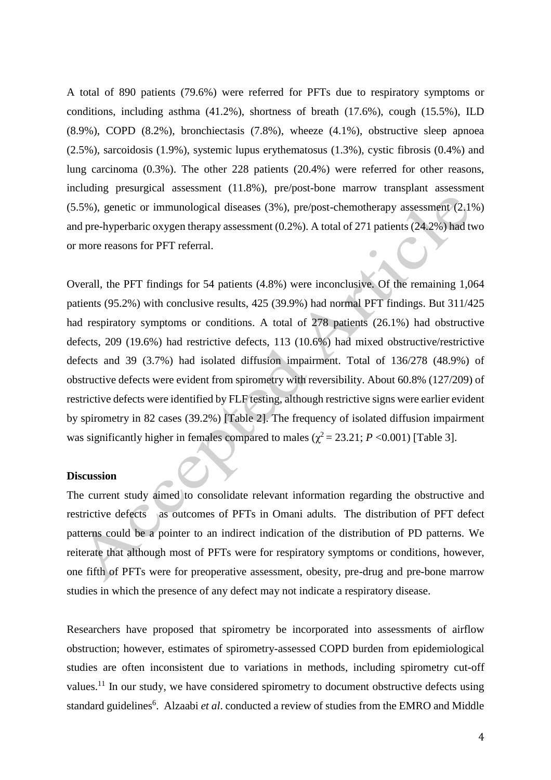A total of 890 patients (79.6%) were referred for PFTs due to respiratory symptoms or conditions, including asthma (41.2%), shortness of breath (17.6%), cough (15.5%), ILD (8.9%), COPD (8.2%), bronchiectasis (7.8%), wheeze (4.1%), obstructive sleep apnoea (2.5%), sarcoidosis (1.9%), systemic lupus erythematosus (1.3%), cystic fibrosis (0.4%) and lung carcinoma (0.3%). The other 228 patients (20.4%) were referred for other reasons, including presurgical assessment (11.8%), pre/post-bone marrow transplant assessment (5.5%), genetic or immunological diseases (3%), pre/post-chemotherapy assessment (2.1%) and pre-hyperbaric oxygen therapy assessment (0.2%). A total of 271 patients (24.2%) had two or more reasons for PFT referral.

Overall, the PFT findings for 54 patients (4.8%) were inconclusive. Of the remaining 1,064 patients (95.2%) with conclusive results, 425 (39.9%) had normal PFT findings. But 311/425 had respiratory symptoms or conditions. A total of 278 patients (26.1%) had obstructive defects, 209 (19.6%) had restrictive defects, 113 (10.6%) had mixed obstructive/restrictive defects and 39 (3.7%) had isolated diffusion impairment. Total of 136/278 (48.9%) of obstructive defects were evident from spirometry with reversibility. About 60.8% (127/209) of restrictive defects were identified by FLF testing, although restrictive signs were earlier evident by spirometry in 82 cases (39.2%) [Table 2]. The frequency of isolated diffusion impairment was significantly higher in females compared to males ( $\chi^2$  = 23.21; *P* <0.001) [Table 3].

#### **Discussion**

The current study aimed to consolidate relevant information regarding the obstructive and restrictive defects as outcomes of PFTs in Omani adults. The distribution of PFT defect patterns could be a pointer to an indirect indication of the distribution of PD patterns. We reiterate that although most of PFTs were for respiratory symptoms or conditions, however, one fifth of PFTs were for preoperative assessment, obesity, pre-drug and pre-bone marrow studies in which the presence of any defect may not indicate a respiratory disease.

Researchers have proposed that spirometry be incorporated into assessments of airflow obstruction; however, estimates of spirometry-assessed COPD burden from epidemiological studies are often inconsistent due to variations in methods, including spirometry cut-off values.<sup>11</sup> In our study, we have considered spirometry to document obstructive defects using standard guidelines<sup>6</sup>. Alzaabi *et al*. conducted a review of studies from the EMRO and Middle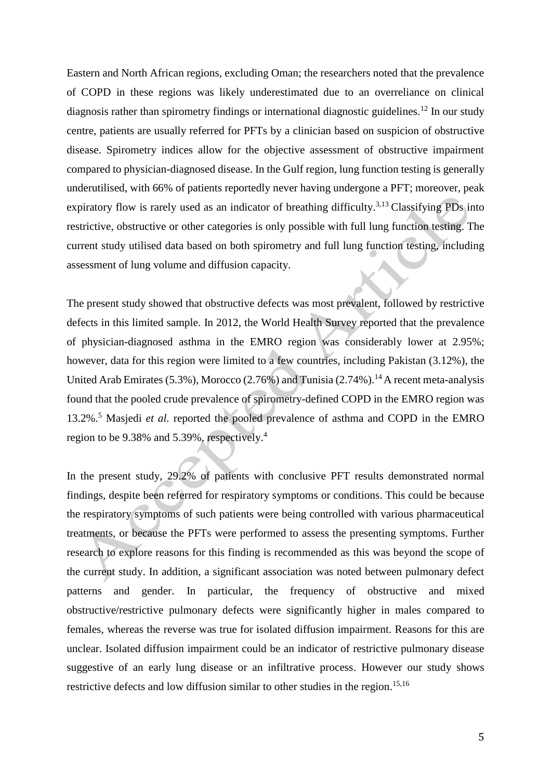Eastern and North African regions, excluding Oman; the researchers noted that the prevalence of COPD in these regions was likely underestimated due to an overreliance on clinical diagnosis rather than spirometry findings or international diagnostic guidelines.<sup>12</sup> In our study centre, patients are usually referred for PFTs by a clinician based on suspicion of obstructive disease. Spirometry indices allow for the objective assessment of obstructive impairment compared to physician-diagnosed disease. In the Gulf region, lung function testing is generally underutilised, with 66% of patients reportedly never having undergone a PFT; moreover, peak expiratory flow is rarely used as an indicator of breathing difficulty.<sup>3,13</sup> Classifying PDs into restrictive, obstructive or other categories is only possible with full lung function testing. The current study utilised data based on both spirometry and full lung function testing, including assessment of lung volume and diffusion capacity.

The present study showed that obstructive defects was most prevalent, followed by restrictive defects in this limited sample. In 2012, the World Health Survey reported that the prevalence of physician-diagnosed asthma in the EMRO region was considerably lower at 2.95%; however, data for this region were limited to a few countries, including Pakistan (3.12%), the United Arab Emirates (5.3%), Morocco (2.76%) and Tunisia (2.74%).<sup>14</sup> A recent meta-analysis found that the pooled crude prevalence of spirometry-defined COPD in the EMRO region was 13.2%. <sup>5</sup> Masjedi *et al.* reported the pooled prevalence of asthma and COPD in the EMRO region to be 9.38% and 5.39%, respectively.<sup>4</sup>

In the present study, 29.2% of patients with conclusive PFT results demonstrated normal findings, despite been referred for respiratory symptoms or conditions. This could be because the respiratory symptoms of such patients were being controlled with various pharmaceutical treatments, or because the PFTs were performed to assess the presenting symptoms. Further research to explore reasons for this finding is recommended as this was beyond the scope of the current study. In addition, a significant association was noted between pulmonary defect patterns and gender. In particular, the frequency of obstructive and mixed obstructive/restrictive pulmonary defects were significantly higher in males compared to females, whereas the reverse was true for isolated diffusion impairment. Reasons for this are unclear. Isolated diffusion impairment could be an indicator of restrictive pulmonary disease suggestive of an early lung disease or an infiltrative process. However our study shows restrictive defects and low diffusion similar to other studies in the region.<sup>15,16</sup>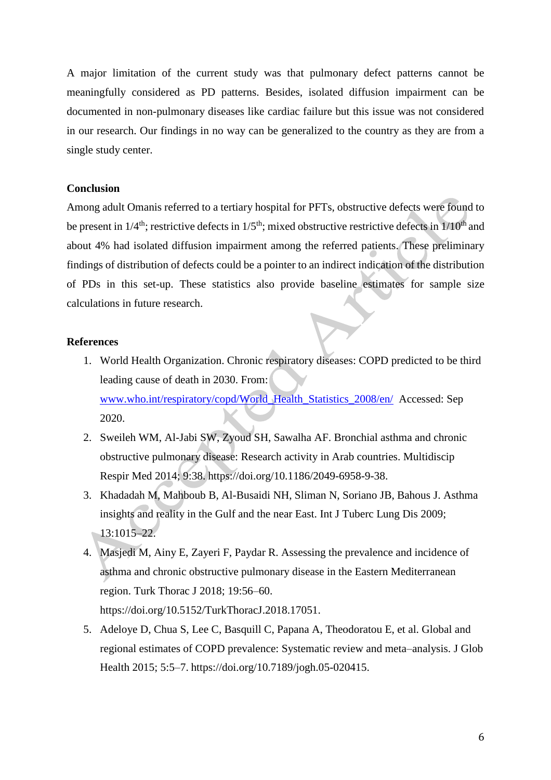A major limitation of the current study was that pulmonary defect patterns cannot be meaningfully considered as PD patterns. Besides, isolated diffusion impairment can be documented in non-pulmonary diseases like cardiac failure but this issue was not considered in our research. Our findings in no way can be generalized to the country as they are from a single study center.

# **Conclusion**

Among adult Omanis referred to a tertiary hospital for PFTs, obstructive defects were found to be present in  $1/4^{\text{th}}$ ; restrictive defects in  $1/5^{\text{th}}$ ; mixed obstructive restrictive defects in  $1/10^{\text{th}}$  and about 4% had isolated diffusion impairment among the referred patients. These preliminary findings of distribution of defects could be a pointer to an indirect indication of the distribution of PDs in this set-up. These statistics also provide baseline estimates for sample size calculations in future research.

# **References**

- 1. World Health Organization. Chronic respiratory diseases: COPD predicted to be third leading cause of death in 2030. From: [www.who.int/respiratory/copd/World\\_Health\\_Statistics\\_2008/en/](http://www.who.int/respiratory/copd/World_Health_Statistics_2008/en/) Accessed: Sep 2020.
- 2. Sweileh WM, Al-Jabi SW, Zyoud SH, Sawalha AF. Bronchial asthma and chronic obstructive pulmonary disease: Research activity in Arab countries. Multidiscip Respir Med 2014; 9:38. https://doi.org/10.1186/2049-6958-9-38.
- 3. Khadadah M, Mahboub B, Al-Busaidi NH, Sliman N, Soriano JB, Bahous J. Asthma insights and reality in the Gulf and the near East. Int J Tuberc Lung Dis 2009; 13:1015–22.
- 4. Masjedi M, Ainy E, Zayeri F, Paydar R. Assessing the prevalence and incidence of asthma and chronic obstructive pulmonary disease in the Eastern Mediterranean region. Turk Thorac J 2018; 19:56–60. https://doi.org/10.5152/TurkThoracJ.2018.17051.
- 5. Adeloye D, Chua S, Lee C, Basquill C, Papana A, Theodoratou E, et al. Global and regional estimates of COPD prevalence: Systematic review and meta–analysis. J Glob Health 2015; 5:5–7. https://doi.org/10.7189/jogh.05-020415.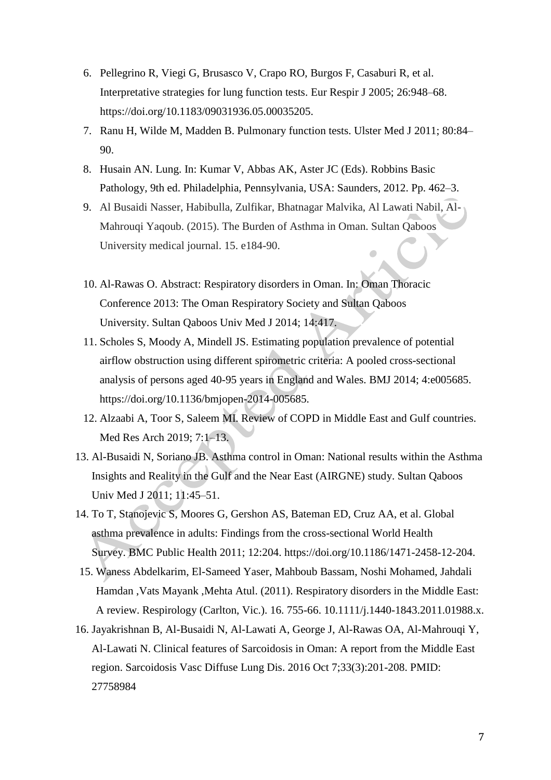- 6. Pellegrino R, Viegi G, Brusasco V, Crapo RO, Burgos F, Casaburi R, et al. Interpretative strategies for lung function tests. Eur Respir J 2005; 26:948–68. https://doi.org/10.1183/09031936.05.00035205.
- 7. Ranu H, Wilde M, Madden B. Pulmonary function tests. Ulster Med J 2011; 80:84– 90.
- 8. Husain AN. Lung. In: Kumar V, Abbas AK, Aster JC (Eds). Robbins Basic Pathology, 9th ed. Philadelphia, Pennsylvania, USA: Saunders, 2012. Pp. 462–3.
- 9. Al Busaidi Nasser, Habibulla, Zulfikar, Bhatnagar Malvika, Al Lawati Nabil, Al-Mahrouqi Yaqoub. (2015). The Burden of Asthma in Oman. Sultan Qaboos University medical journal. 15. e184-90.
- 10. Al-Rawas O. Abstract: Respiratory disorders in Oman. In: Oman Thoracic Conference 2013: The Oman Respiratory Society and Sultan Qaboos University. Sultan Qaboos Univ Med J 2014; 14:417.
- 11. Scholes S, Moody A, Mindell JS. Estimating population prevalence of potential airflow obstruction using different spirometric criteria: A pooled cross-sectional analysis of persons aged 40-95 years in England and Wales. BMJ 2014; 4:e005685. https://doi.org/10.1136/bmjopen-2014-005685.
- 12. Alzaabi A, Toor S, Saleem MI. Review of COPD in Middle East and Gulf countries. Med Res Arch 2019; 7:1–13.
- 13. Al-Busaidi N, Soriano JB. Asthma control in Oman: National results within the Asthma Insights and Reality in the Gulf and the Near East (AIRGNE) study. Sultan Qaboos Univ Med J 2011; 11:45–51.
- 14. To T, Stanojevic S, Moores G, Gershon AS, Bateman ED, Cruz AA, et al. Global asthma prevalence in adults: Findings from the cross-sectional World Health Survey. BMC Public Health 2011; 12:204. https://doi.org/10.1186/1471-2458-12-204.
- 15. Waness Abdelkarim, El-Sameed Yaser, Mahboub Bassam, Noshi Mohamed, Jahdali Hamdan ,Vats Mayank ,Mehta Atul. (2011). Respiratory disorders in the Middle East: A review. Respirology (Carlton, Vic.). 16. 755-66. 10.1111/j.1440-1843.2011.01988.x.
- 16. Jayakrishnan B, Al-Busaidi N, Al-Lawati A, George J, Al-Rawas OA, Al-Mahrouqi Y, Al-Lawati N. Clinical features of Sarcoidosis in Oman: A report from the Middle East region. Sarcoidosis Vasc Diffuse Lung Dis. 2016 Oct 7;33(3):201-208. PMID: 27758984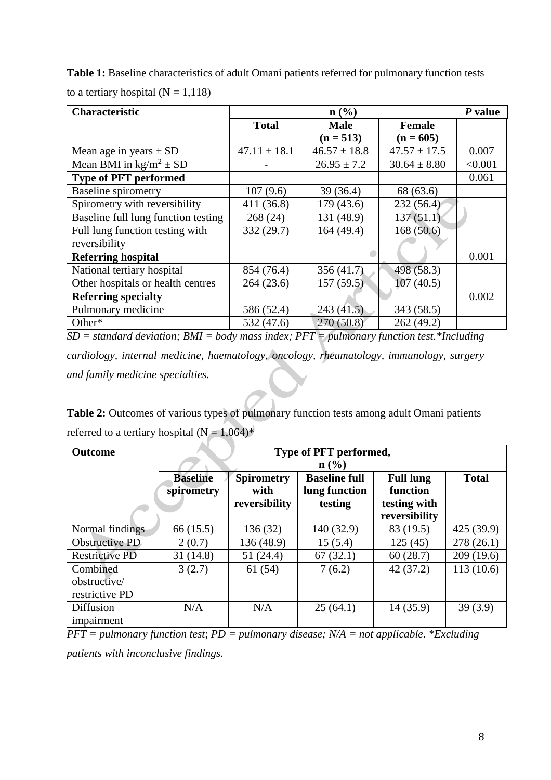**Table 1:** Baseline characteristics of adult Omani patients referred for pulmonary function tests to a tertiary hospital  $(N = 1,118)$ 

| <b>Characteristic</b>                     |                  | P value          |                  |         |
|-------------------------------------------|------------------|------------------|------------------|---------|
|                                           | <b>Total</b>     | <b>Male</b>      | <b>Female</b>    |         |
|                                           |                  | $(n = 513)$      | $(n = 605)$      |         |
| Mean age in years $\pm$ SD                | $47.11 \pm 18.1$ | $46.57 \pm 18.8$ | $47.57 \pm 17.5$ | 0.007   |
| Mean BMI in $\text{kg/m}^2 \pm \text{SD}$ |                  | $26.95 \pm 7.2$  | $30.64 \pm 8.80$ | < 0.001 |
| <b>Type of PFT performed</b>              |                  |                  |                  | 0.061   |
| <b>Baseline spirometry</b>                | 107(9.6)         | 39 (36.4)        | 68 (63.6)        |         |
| Spirometry with reversibility             | 411 (36.8)       | 179(43.6)        | 232(56.4)        |         |
| Baseline full lung function testing       | 268 (24)         | 131 (48.9)       | 137(51.1)        |         |
| Full lung function testing with           | 332 (29.7)       | 164(49.4)        | 168(50.6)        |         |
| reversibility                             |                  |                  |                  |         |
| <b>Referring hospital</b>                 |                  |                  |                  | 0.001   |
| National tertiary hospital                | 854 (76.4)       | 356(41.7)        | 498(58.3)        |         |
| Other hospitals or health centres         | 264(23.6)        | 157(59.5)        | 107(40.5)        |         |
| <b>Referring specialty</b>                |                  |                  |                  | 0.002   |
| Pulmonary medicine                        | 586 (52.4)       | 243(41.5)        | 343(58.5)        |         |
| Other*                                    | 532 (47.6)       | 270(50.8)        | 262(49.2)        |         |

*SD = standard deviation; BMI = body mass index; PFT = pulmonary function test.\*Including cardiology, internal medicine, haematology, oncology, rheumatology, immunology, surgery and family medicine specialties.*

Table 2: Outcomes of various types of pulmonary function tests among adult Omani patients referred to a tertiary hospital ( $N = 1,064$ )\*

| <b>Outcome</b>        | Type of PFT performed,      |                   |                      |                               |            |  |  |  |
|-----------------------|-----------------------------|-------------------|----------------------|-------------------------------|------------|--|--|--|
|                       | $n\left(\frac{0}{0}\right)$ |                   |                      |                               |            |  |  |  |
|                       | <b>Baseline</b>             | <b>Spirometry</b> | <b>Baseline full</b> | <b>Full lung</b>              |            |  |  |  |
|                       | spirometry                  | with              | lung function        | function                      |            |  |  |  |
|                       |                             | reversibility     | testing              | testing with<br>reversibility |            |  |  |  |
| Normal findings       | 66 (15.5)                   | 136 (32)          | 140 (32.9)           | 83 (19.5)                     | 425 (39.9) |  |  |  |
| Obstructive PD        | 2(0.7)                      | 136 (48.9)        | 15(5.4)              | 125(45)                       | 278(26.1)  |  |  |  |
| <b>Restrictive PD</b> | 31(14.8)                    | 51(24.4)          | 67(32.1)             | 60(28.7)                      | 209(19.6)  |  |  |  |
| Combined              | 3(2.7)                      | 61(54)            | 7(6.2)               | 42(37.2)                      | 113(10.6)  |  |  |  |
| obstructive/          |                             |                   |                      |                               |            |  |  |  |
| restrictive PD        |                             |                   |                      |                               |            |  |  |  |
| <b>Diffusion</b>      | N/A                         | N/A               | 25(64.1)             | 14(35.9)                      | 39(3.9)    |  |  |  |
| impairment            |                             |                   |                      |                               |            |  |  |  |

*PFT = pulmonary function test*; *PD = pulmonary disease; N/A = not applicable*. *\*Excluding* 

*patients with inconclusive findings.*